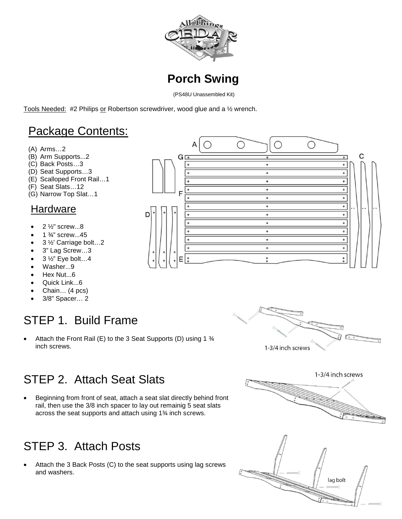



(PS48U Unassembled Kit)

 $\Delta$ 

G

Е

Tools Needed: #2 Philips or Robertson screwdriver, wood glue and a ½ wrench.

## Package Contents:

- (A) Arms…2
- (B) Arm Supports...2
- (C) Back Posts…3
- (D) Seat Supports…3
- (E) Scalloped Front Rail…1
- (F) Seat Slats…12
- (G) Narrow Top Slat…1

#### Hardware

- $2\frac{1}{2}$ " screw...8
- 1 ¾" screw...45
- 3 ½' Carriage bolt…2
- 3" Lag Screw…3
- $\bullet$  3 1/<sub>2</sub>" Eye bolt...4
- Washer...9
- Hex Nut...6
- Quick Link...6
- Chain… (4 pcs)
- 3/8" Spacer… 2

# STEP 1. Build Frame

• Attach the Front Rail (E) to the 3 Seat Supports (D) using 1 ¾ inch screws.



 $\bigcirc$ 

 $\circ$ 

 $\circ$ 

 $\circ$ 

 $\circ$ 

 $\circ$ 

 $\bullet$ 

 $\circ$ 

 $\circ$ 

 $\bigcirc$ 

C

 $\overline{\bullet}$  $\bullet$  $\overline{\phantom{0}}$  $\bullet$ 

 $\bullet$ 

 $\overline{\phantom{0}}$ 

 $\overline{\phantom{0}}$ 

 $\overline{\phantom{0}}$  $\overline{\phantom{0}}$  $\overline{\bullet}$ 

 $\bullet$ 

 $\bullet$ 

 $\degree$ 

∩

## STEP 2. Attach Seat Slats

• Beginning from front of seat, attach a seat slat directly behind front rail, then use the 3/8 inch spacer to lay out remainig 5 seat slats across the seat supports and attach using 1¾ inch screws.

# STEP 3. Attach Posts

• Attach the 3 Back Posts (C) to the seat supports using lag screws and washers.